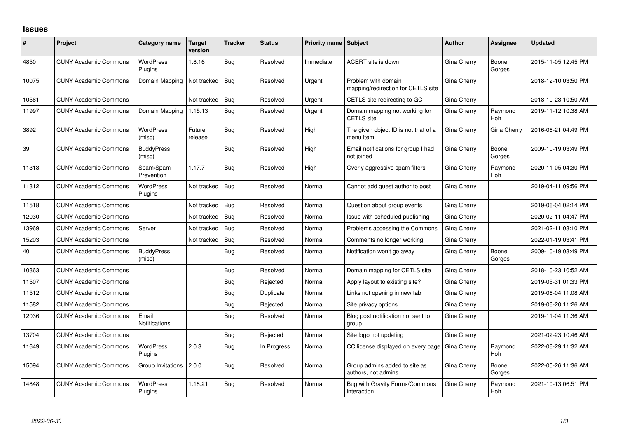## **Issues**

| #     | Project                      | Category name               | <b>Target</b><br>version | <b>Tracker</b> | <b>Status</b> | <b>Priority name Subject</b> |                                                           | <b>Author</b> | <b>Assignee</b>       | Updated             |
|-------|------------------------------|-----------------------------|--------------------------|----------------|---------------|------------------------------|-----------------------------------------------------------|---------------|-----------------------|---------------------|
| 4850  | <b>CUNY Academic Commons</b> | <b>WordPress</b><br>Plugins | 1.8.16                   | Bug            | Resolved      | Immediate                    | ACERT site is down                                        | Gina Cherry   | Boone<br>Gorges       | 2015-11-05 12:45 PM |
| 10075 | <b>CUNY Academic Commons</b> | Domain Mapping              | Not tracked              | <b>Bug</b>     | Resolved      | Urgent                       | Problem with domain<br>mapping/redirection for CETLS site | Gina Cherry   |                       | 2018-12-10 03:50 PM |
| 10561 | <b>CUNY Academic Commons</b> |                             | Not tracked              | Bug            | Resolved      | Urgent                       | CETLS site redirecting to GC                              | Gina Cherry   |                       | 2018-10-23 10:50 AM |
| 11997 | <b>CUNY Academic Commons</b> | Domain Mapping              | 1.15.13                  | Bug            | Resolved      | Urgent                       | Domain mapping not working for<br><b>CETLS</b> site       | Gina Cherry   | Raymond<br>Hoh        | 2019-11-12 10:38 AM |
| 3892  | <b>CUNY Academic Commons</b> | <b>WordPress</b><br>(misc)  | Future<br>release        | Bug            | Resolved      | High                         | The given object ID is not that of a<br>menu item.        | Gina Cherry   | Gina Cherry           | 2016-06-21 04:49 PM |
| 39    | <b>CUNY Academic Commons</b> | <b>BuddyPress</b><br>(misc) |                          | <b>Bug</b>     | Resolved      | High                         | Email notifications for group I had<br>not joined         | Gina Cherry   | Boone<br>Gorges       | 2009-10-19 03:49 PM |
| 11313 | <b>CUNY Academic Commons</b> | Spam/Spam<br>Prevention     | 1.17.7                   | Bug            | Resolved      | High                         | Overly aggressive spam filters                            | Gina Cherry   | Raymond<br><b>Hoh</b> | 2020-11-05 04:30 PM |
| 11312 | <b>CUNY Academic Commons</b> | <b>WordPress</b><br>Plugins | Not tracked              | Bug            | Resolved      | Normal                       | Cannot add guest author to post                           | Gina Cherry   |                       | 2019-04-11 09:56 PM |
| 11518 | <b>CUNY Academic Commons</b> |                             | Not tracked              | Bug            | Resolved      | Normal                       | Question about group events                               | Gina Cherry   |                       | 2019-06-04 02:14 PM |
| 12030 | <b>CUNY Academic Commons</b> |                             | Not tracked              | Bug            | Resolved      | Normal                       | Issue with scheduled publishing                           | Gina Cherry   |                       | 2020-02-11 04:47 PM |
| 13969 | <b>CUNY Academic Commons</b> | Server                      | Not tracked              | Bug            | Resolved      | Normal                       | Problems accessing the Commons                            | Gina Cherry   |                       | 2021-02-11 03:10 PM |
| 15203 | <b>CUNY Academic Commons</b> |                             | Not tracked              | Bug            | Resolved      | Normal                       | Comments no longer working                                | Gina Cherry   |                       | 2022-01-19 03:41 PM |
| 40    | <b>CUNY Academic Commons</b> | <b>BuddyPress</b><br>(misc) |                          | Bug            | Resolved      | Normal                       | Notification won't go away                                | Gina Cherry   | Boone<br>Gorges       | 2009-10-19 03:49 PM |
| 10363 | <b>CUNY Academic Commons</b> |                             |                          | Bug            | Resolved      | Normal                       | Domain mapping for CETLS site                             | Gina Cherry   |                       | 2018-10-23 10:52 AM |
| 11507 | <b>CUNY Academic Commons</b> |                             |                          | Bug            | Rejected      | Normal                       | Apply layout to existing site?                            | Gina Cherry   |                       | 2019-05-31 01:33 PM |
| 11512 | <b>CUNY Academic Commons</b> |                             |                          | Bug            | Duplicate     | Normal                       | Links not opening in new tab                              | Gina Cherry   |                       | 2019-06-04 11:08 AM |
| 11582 | <b>CUNY Academic Commons</b> |                             |                          | Bug            | Rejected      | Normal                       | Site privacy options                                      | Gina Cherry   |                       | 2019-06-20 11:26 AM |
| 12036 | <b>CUNY Academic Commons</b> | Email<br>Notifications      |                          | Bug            | Resolved      | Normal                       | Blog post notification not sent to<br>group               | Gina Cherry   |                       | 2019-11-04 11:36 AM |
| 13704 | <b>CUNY Academic Commons</b> |                             |                          | Bug            | Rejected      | Normal                       | Site logo not updating                                    | Gina Cherry   |                       | 2021-02-23 10:46 AM |
| 11649 | <b>CUNY Academic Commons</b> | <b>WordPress</b><br>Plugins | 2.0.3                    | Bug            | In Progress   | Normal                       | CC license displayed on every page                        | Gina Cherry   | Raymond<br>Hoh        | 2022-06-29 11:32 AM |
| 15094 | <b>CUNY Academic Commons</b> | Group Invitations           | 2.0.0                    | <b>Bug</b>     | Resolved      | Normal                       | Group admins added to site as<br>authors, not admins      | Gina Cherry   | Boone<br>Gorges       | 2022-05-26 11:36 AM |
| 14848 | <b>CUNY Academic Commons</b> | <b>WordPress</b><br>Plugins | 1.18.21                  | <b>Bug</b>     | Resolved      | Normal                       | <b>Bug with Gravity Forms/Commons</b><br>interaction      | Gina Cherry   | Raymond<br>Hoh        | 2021-10-13 06:51 PM |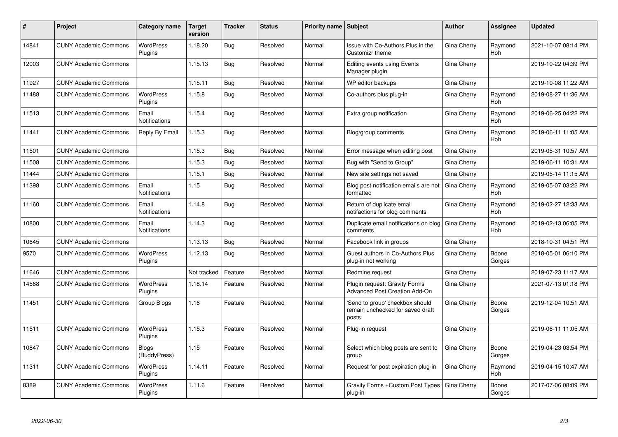| #     | Project                      | Category name                 | <b>Target</b><br>version | <b>Tracker</b> | <b>Status</b> | <b>Priority name Subject</b> |                                                                              | <b>Author</b>      | Assignee        | <b>Updated</b>      |
|-------|------------------------------|-------------------------------|--------------------------|----------------|---------------|------------------------------|------------------------------------------------------------------------------|--------------------|-----------------|---------------------|
| 14841 | <b>CUNY Academic Commons</b> | <b>WordPress</b><br>Plugins   | 1.18.20                  | Bug            | Resolved      | Normal                       | Issue with Co-Authors Plus in the<br>Customizr theme                         | Gina Cherry        | Raymond<br>Hoh  | 2021-10-07 08:14 PM |
| 12003 | <b>CUNY Academic Commons</b> |                               | 1.15.13                  | Bug            | Resolved      | Normal                       | <b>Editing events using Events</b><br>Manager plugin                         | Gina Cherry        |                 | 2019-10-22 04:39 PM |
| 11927 | <b>CUNY Academic Commons</b> |                               | 1.15.11                  | Bug            | Resolved      | Normal                       | WP editor backups                                                            | Gina Cherry        |                 | 2019-10-08 11:22 AM |
| 11488 | <b>CUNY Academic Commons</b> | <b>WordPress</b><br>Plugins   | 1.15.8                   | Bug            | Resolved      | Normal                       | Co-authors plus plug-in                                                      | Gina Cherry        | Raymond<br>Hoh  | 2019-08-27 11:36 AM |
| 11513 | <b>CUNY Academic Commons</b> | Email<br><b>Notifications</b> | 1.15.4                   | Bug            | Resolved      | Normal                       | Extra group notification                                                     | Gina Cherry        | Raymond<br>Hoh  | 2019-06-25 04:22 PM |
| 11441 | <b>CUNY Academic Commons</b> | Reply By Email                | 1.15.3                   | <b>Bug</b>     | Resolved      | Normal                       | Blog/group comments                                                          | Gina Cherry        | Raymond<br>Hoh  | 2019-06-11 11:05 AM |
| 11501 | <b>CUNY Academic Commons</b> |                               | 1.15.3                   | Bug            | Resolved      | Normal                       | Error message when editing post                                              | Gina Cherry        |                 | 2019-05-31 10:57 AM |
| 11508 | <b>CUNY Academic Commons</b> |                               | 1.15.3                   | <b>Bug</b>     | Resolved      | Normal                       | Bug with "Send to Group"                                                     | Gina Cherry        |                 | 2019-06-11 10:31 AM |
| 11444 | <b>CUNY Academic Commons</b> |                               | 1.15.1                   | <b>Bug</b>     | Resolved      | Normal                       | New site settings not saved                                                  | Gina Cherry        |                 | 2019-05-14 11:15 AM |
| 11398 | <b>CUNY Academic Commons</b> | Email<br>Notifications        | 1.15                     | Bug            | Resolved      | Normal                       | Blog post notification emails are not<br>formatted                           | <b>Gina Cherry</b> | Raymond<br>Hoh  | 2019-05-07 03:22 PM |
| 11160 | <b>CUNY Academic Commons</b> | Email<br><b>Notifications</b> | 1.14.8                   | Bug            | Resolved      | Normal                       | Return of duplicate email<br>notifactions for blog comments                  | Gina Cherry        | Raymond<br>Hoh  | 2019-02-27 12:33 AM |
| 10800 | <b>CUNY Academic Commons</b> | Email<br>Notifications        | 1.14.3                   | Bug            | Resolved      | Normal                       | Duplicate email notifications on blog<br>comments                            | Gina Cherry        | Raymond<br>Hoh  | 2019-02-13 06:05 PM |
| 10645 | <b>CUNY Academic Commons</b> |                               | 1.13.13                  | Bug            | Resolved      | Normal                       | Facebook link in groups                                                      | Gina Cherry        |                 | 2018-10-31 04:51 PM |
| 9570  | <b>CUNY Academic Commons</b> | <b>WordPress</b><br>Plugins   | 1.12.13                  | Bug            | Resolved      | Normal                       | Guest authors in Co-Authors Plus<br>plug-in not working                      | Gina Cherry        | Boone<br>Gorges | 2018-05-01 06:10 PM |
| 11646 | <b>CUNY Academic Commons</b> |                               | Not tracked              | Feature        | Resolved      | Normal                       | Redmine request                                                              | Gina Cherry        |                 | 2019-07-23 11:17 AM |
| 14568 | <b>CUNY Academic Commons</b> | <b>WordPress</b><br>Plugins   | 1.18.14                  | Feature        | Resolved      | Normal                       | Plugin request: Gravity Forms<br><b>Advanced Post Creation Add-On</b>        | Gina Cherry        |                 | 2021-07-13 01:18 PM |
| 11451 | <b>CUNY Academic Commons</b> | Group Blogs                   | 1.16                     | Feature        | Resolved      | Normal                       | 'Send to group' checkbox should<br>remain unchecked for saved draft<br>posts | Gina Cherry        | Boone<br>Gorges | 2019-12-04 10:51 AM |
| 11511 | <b>CUNY Academic Commons</b> | <b>WordPress</b><br>Plugins   | 1.15.3                   | Feature        | Resolved      | Normal                       | Plug-in request                                                              | Gina Cherry        |                 | 2019-06-11 11:05 AM |
| 10847 | <b>CUNY Academic Commons</b> | <b>Blogs</b><br>(BuddyPress)  | 1.15                     | Feature        | Resolved      | Normal                       | Select which blog posts are sent to<br>group                                 | Gina Cherry        | Boone<br>Gorges | 2019-04-23 03:54 PM |
| 11311 | <b>CUNY Academic Commons</b> | <b>WordPress</b><br>Plugins   | 1.14.11                  | Feature        | Resolved      | Normal                       | Request for post expiration plug-in                                          | Gina Cherry        | Raymond<br>Hoh  | 2019-04-15 10:47 AM |
| 8389  | <b>CUNY Academic Commons</b> | WordPress<br>Plugins          | 1.11.6                   | Feature        | Resolved      | Normal                       | Gravity Forms + Custom Post Types<br>plug-in                                 | Gina Cherry        | Boone<br>Gorges | 2017-07-06 08:09 PM |